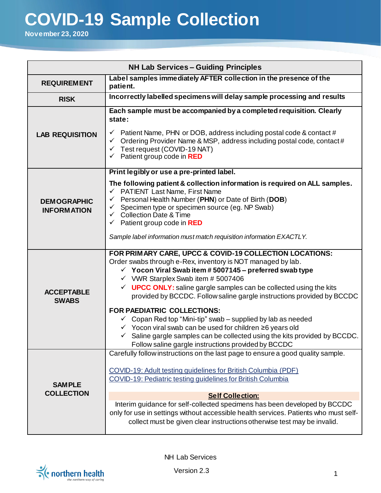## **COVID-19 Sample Collection**

**November 23, 2020**

| <b>NH Lab Services - Guiding Principles</b> |                                                                                                                                                                                                                                                                                                                                                                                                                                                                                                                                                                                                                                                                                                                                                         |  |  |
|---------------------------------------------|---------------------------------------------------------------------------------------------------------------------------------------------------------------------------------------------------------------------------------------------------------------------------------------------------------------------------------------------------------------------------------------------------------------------------------------------------------------------------------------------------------------------------------------------------------------------------------------------------------------------------------------------------------------------------------------------------------------------------------------------------------|--|--|
| <b>REQUIREMENT</b>                          | Label samples immediately AFTER collection in the presence of the<br>patient.                                                                                                                                                                                                                                                                                                                                                                                                                                                                                                                                                                                                                                                                           |  |  |
| <b>RISK</b>                                 | Incorrectly labelled specimens will delay sample processing and results                                                                                                                                                                                                                                                                                                                                                                                                                                                                                                                                                                                                                                                                                 |  |  |
| <b>LAB REQUISITION</b>                      | Each sample must be accompanied by a completed requisition. Clearly<br>state:<br>Patient Name, PHN or DOB, address including postal code & contact #<br>$\checkmark$<br>Ordering Provider Name & MSP, address including postal code, contact #<br>$\checkmark$<br>Test request (COVID-19 NAT)<br>$\checkmark$<br>Patient group code in RED<br>$\checkmark$                                                                                                                                                                                                                                                                                                                                                                                              |  |  |
|                                             | Print legibly or use a pre-printed label.                                                                                                                                                                                                                                                                                                                                                                                                                                                                                                                                                                                                                                                                                                               |  |  |
| <b>DEMOGRAPHIC</b><br><b>INFORMATION</b>    | The following patient & collection information is required on ALL samples.<br>← PATIENT Last Name, First Name<br>Personal Health Number (PHN) or Date of Birth (DOB)<br>✓<br>Specimen type or specimen source (eg. NP Swab)<br>$\checkmark$<br><b>Collection Date &amp; Time</b><br>$\checkmark$<br>Patient group code in RED<br>$\checkmark$<br>Sample label information must match requisition information EXACTLY.                                                                                                                                                                                                                                                                                                                                   |  |  |
| <b>ACCEPTABLE</b><br><b>SWABS</b>           | FOR PRIMARY CARE, UPCC & COVID-19 COLLECTION LOCATIONS:<br>Order swabs through e-Rex, inventory is NOT managed by lab.<br>$\checkmark$ Yocon Viral Swab item #5007145 – preferred swab type<br>$\checkmark$ VWR Starplex Swab item # 5007406<br>$\checkmark$ UPCC ONLY: saline gargle samples can be collected using the kits<br>provided by BCCDC. Follow saline gargle instructions provided by BCCDC<br><b>FOR PAEDIATRIC COLLECTIONS:</b><br>$\checkmark$ Copan Red top "Mini-tip" swab – supplied by lab as needed<br>$\checkmark$ Yocon viral swab can be used for children $\geq 6$ years old<br>Saline gargle samples can be collected using the kits provided by BCCDC.<br>$\checkmark$<br>Follow saline gargle instructions provided by BCCDC |  |  |
| <b>SAMPLE</b><br><b>COLLECTION</b>          | Carefully follow instructions on the last page to ensure a good quality sample.                                                                                                                                                                                                                                                                                                                                                                                                                                                                                                                                                                                                                                                                         |  |  |
|                                             | COVID-19: Adult testing guidelines for British Columbia (PDF)<br>COVID-19: Pediatric testing quidelines for British Columbia<br><b>Self Collection:</b><br>Interim guidance for self-collected specimens has been developed by BCCDC<br>only for use in settings without accessible health services. Patients who must self-                                                                                                                                                                                                                                                                                                                                                                                                                            |  |  |
|                                             | collect must be given clear instructions otherwise test may be invalid.                                                                                                                                                                                                                                                                                                                                                                                                                                                                                                                                                                                                                                                                                 |  |  |



NH Lab Services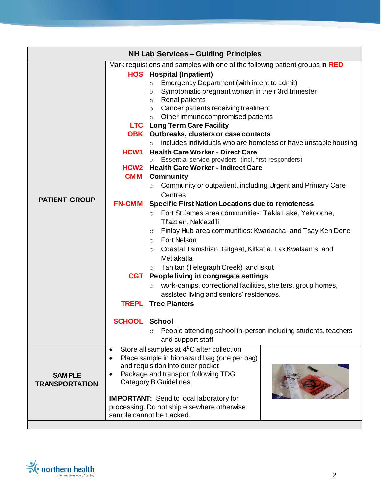| <b>NH Lab Services - Guiding Principles</b>                                 |                                             |                                                                                                                   |  |
|-----------------------------------------------------------------------------|---------------------------------------------|-------------------------------------------------------------------------------------------------------------------|--|
| Mark requistions and samples with one of the followng patient groups in RED |                                             |                                                                                                                   |  |
|                                                                             |                                             | <b>HOS</b> Hospital (Inpatient)                                                                                   |  |
|                                                                             |                                             | Emergency Department (with intent to admit)<br>$\circ$                                                            |  |
|                                                                             |                                             | Symptomatic pregnant woman in their 3rd trimester<br>$\circ$                                                      |  |
|                                                                             |                                             | $\circ$ Renal patients                                                                                            |  |
| <b>PATIENT GROUP</b>                                                        |                                             | Cancer patients receiving treatment<br>$\circ$                                                                    |  |
|                                                                             |                                             | $\circ$ Other immunocompromised patients                                                                          |  |
|                                                                             |                                             | <b>LTC</b> Long Term Care Facility                                                                                |  |
|                                                                             |                                             | <b>OBK</b> Outbreaks, clusters or case contacts<br>includes individuals who are homeless or have unstable housing |  |
|                                                                             | HCW <sub>1</sub>                            | <b>Health Care Worker - Direct Care</b>                                                                           |  |
|                                                                             |                                             | Essential service providers (incl. first responders)                                                              |  |
|                                                                             |                                             | <b>HCW2</b> Health Care Worker - Indirect Care                                                                    |  |
|                                                                             | <b>CMM</b>                                  | <b>Community</b>                                                                                                  |  |
|                                                                             |                                             | Community or outpatient, including Urgent and Primary Care<br>$\circ$                                             |  |
|                                                                             |                                             | Centres                                                                                                           |  |
|                                                                             | <b>FN-CMM</b>                               | <b>Specific First Nation Locations due to remoteness</b>                                                          |  |
|                                                                             |                                             | o Fort St James area communities: Takla Lake, Yekooche,                                                           |  |
|                                                                             |                                             | Tl'azt'en, Nak'azd'li                                                                                             |  |
|                                                                             |                                             | ○ Finlay Hub area communities: Kwadacha, and Tsay Keh Dene                                                        |  |
|                                                                             |                                             | o Fort Nelson                                                                                                     |  |
|                                                                             |                                             | Coastal Tsimshian: Gitgaat, Kitkatla, Lax Kwalaams, and<br>$\circ$                                                |  |
|                                                                             |                                             | Metlakatla                                                                                                        |  |
|                                                                             |                                             | o Tahltan (Telegraph Creek) and Iskut                                                                             |  |
|                                                                             |                                             | <b>CGT</b> People living in congregate settings                                                                   |  |
|                                                                             |                                             | work-camps, correctional facilities, shelters, group homes,<br>$\circ$                                            |  |
|                                                                             |                                             | assisted living and seniors' residences.                                                                          |  |
|                                                                             |                                             | <b>TREPL</b> Tree Planters                                                                                        |  |
|                                                                             |                                             |                                                                                                                   |  |
|                                                                             | <b>SCHOOL School</b>                        |                                                                                                                   |  |
|                                                                             |                                             | People attending school in-person including students, teachers<br>$\circ$                                         |  |
|                                                                             |                                             | and support staff                                                                                                 |  |
|                                                                             | $\bullet$                                   | Store all samples at $4^0C$ after collection                                                                      |  |
| <b>SAMPLE</b>                                                               | $\bullet$                                   | Place sample in biohazard bag (one per bag)                                                                       |  |
|                                                                             | and requisition into outer pocket           |                                                                                                                   |  |
|                                                                             | Package and transport following TDG         |                                                                                                                   |  |
| <b>TRANSPORTATION</b>                                                       |                                             | <b>Category B Guidelines</b>                                                                                      |  |
|                                                                             |                                             | <b>IMPORTANT:</b> Send to local laboratory for                                                                    |  |
|                                                                             | processing. Do not ship elsewhere otherwise |                                                                                                                   |  |
|                                                                             |                                             | sample cannot be tracked.                                                                                         |  |
|                                                                             |                                             |                                                                                                                   |  |